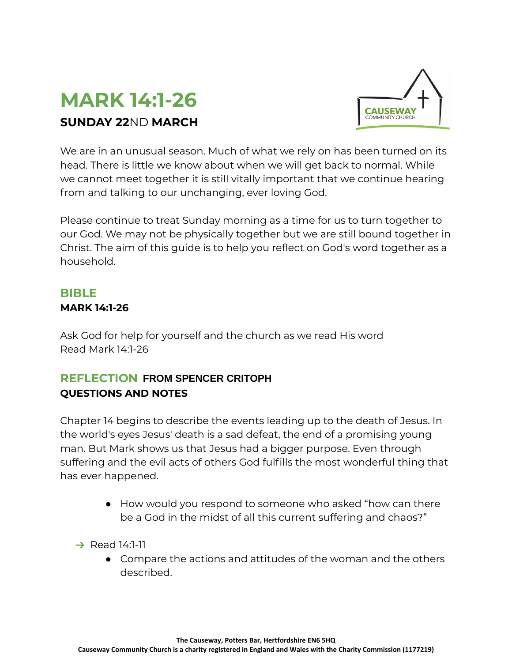# **MARK 14:1-26 SUNDAY 22**ND **MARCH**



We are in an unusual season. Much of what we rely on has been turned on its head. There is little we know about when we will get back to normal. While we cannot meet together it is still vitally important that we continue hearing from and talking to our unchanging, ever loving God.

Please continue to treat Sunday morning as a time for us to turn together to our God. We may not be physically together but we are still bound together in Christ. The aim of this guide is to help you reflect on God's word together as a household.

### **BIBLE**

#### **MARK 14:1-26**

Ask God for help for yourself and the church as we read His word Read Mark 14:1-26

## **REFLECTION FROM SPENCER CRITOPH QUESTIONS AND NOTES**

Chapter 14 begins to describe the events leading up to the death of Jesus. In the world's eyes Jesus' death is a sad defeat, the end of a promising young man. But Mark shows us that Jesus had a bigger purpose. Even through suffering and the evil acts of others God fulfills the most wonderful thing that has ever happened. **CAUSE TIONS AND NOTES**<br> **CAUSE SECTIONS AND NOTES**<br>
Suppose 14 degrees Jesus' death is a sad defeat, the end of a promising young<br>
In. But Mark shows us that Jesus had a bigger purpose. Even through<br>
lering and the evil a

- How would you respond to someone who asked "how can there be a God in the midst of all this current suffering and chaos?"
- $\rightarrow$  Read 14:1-11
	- Compare the actions and attitudes of the woman and the others described.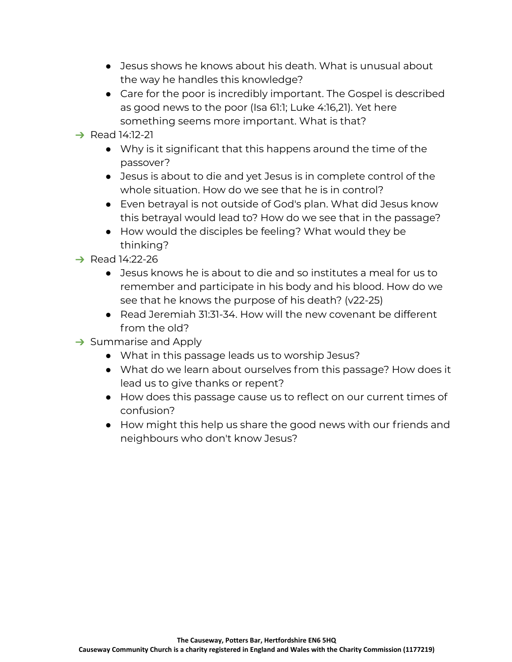- $\bullet$  Jesus shows he knows about his death. What is unusual about the way he handles this knowledge?
- Care for the poor is incredibly important. The Gospel is described as good news to the poor (Isa 61:1; Luke 4:16,21). Yet here something seems more important. What is that?
- **→ Read 14:12-21** 
	- Why is it significant that this happens around the time of the passover?
	- Jesus is about to die and yet Jesus is in complete control of the whole situation. How do we see that he is in control?
	- Even betrayal is not outside of God's plan. What did Jesus know this betrayal would lead to? How do we see that in the passage?
	- How would the disciples be feeling? What would they be thinking?
- $\rightarrow$  Read 14:22-26
	- Jesus knows he is about to die and so institutes a meal for us to remember and participate in his body and his blood. How do we see that he knows the purpose of his death? (v22-25)
	- Read Jeremiah 31:31-34. How will the new covenant be different from the old?
- $\rightarrow$  Summarise and Apply
	- What in this passage leads us to worship Jesus?
	- What do we learn about ourselves from this passage? How does it lead us to give thanks or repent?
	- How does this passage cause us to reflect on our current times of confusion?
	- How might this help us share the good news with our friends and neighbours who don't know Jesus?